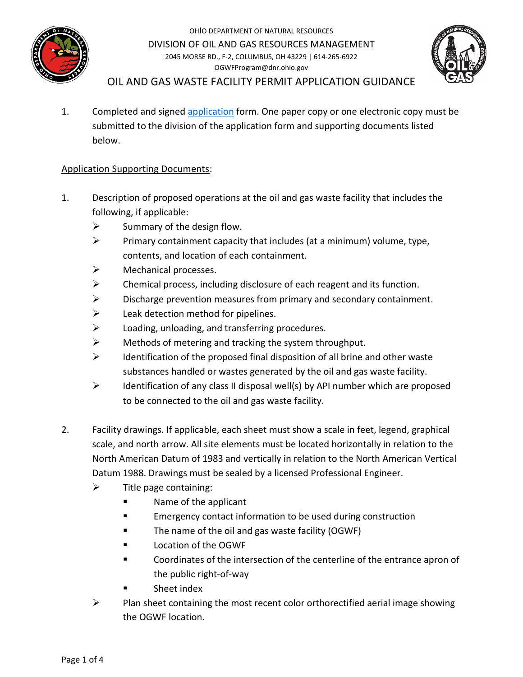

OHIO DEPARTMENT OF NATURAL RESOURCES DIVISION OF OIL AND GAS RESOURCES MANAGEMENT 2045 MORSE RD., F-2, COLUMBUS, OH 43229 | 614-265-6922 OGWFProgram@dnr.ohio.gov



OIL AND GAS WASTE FACILITY PERMIT APPLICATION GUIDANCE

1. Completed and signed [application](http://oilandgas.ohiodnr.gov/regulatory-sections/engineering/guidelines-for-waste-substance-facilities) form. One paper copy or one electronic copy must be submitted to the division of the application form and supporting documents listed below.

## Application Supporting Documents:

- 1. Description of proposed operations at the oil and gas waste facility that includes the following, if applicable:
	- $\triangleright$  Summary of the design flow.
	- $\triangleright$  Primary containment capacity that includes (at a minimum) volume, type, contents, and location of each containment.
	- $\triangleright$  Mechanical processes.
	- $\triangleright$  Chemical process, including disclosure of each reagent and its function.
	- $\triangleright$  Discharge prevention measures from primary and secondary containment.
	- $\triangleright$  Leak detection method for pipelines.
	- $\triangleright$  Loading, unloading, and transferring procedures.
	- $\triangleright$  Methods of metering and tracking the system throughput.
	- $\triangleright$  Identification of the proposed final disposition of all brine and other waste substances handled or wastes generated by the oil and gas waste facility.
	- $\triangleright$  Identification of any class II disposal well(s) by API number which are proposed to be connected to the oil and gas waste facility.
- 2. Facility drawings. If applicable, each sheet must show a scale in feet, legend, graphical scale, and north arrow. All site elements must be located horizontally in relation to the North American Datum of 1983 and vertically in relation to the North American Vertical Datum 1988. Drawings must be sealed by a licensed Professional Engineer.
	- $\triangleright$  Title page containing:
		- **Name of the applicant**
		- **EMERGENCY CONTROLLY** Emergency contact information to be used during construction
		- The name of the oil and gas waste facility (OGWF)
		- Location of the OGWF
		- Coordinates of the intersection of the centerline of the entrance apron of the public right-of-way
		- Sheet index
	- $\triangleright$  Plan sheet containing the most recent color orthorectified aerial image showing the OGWF location.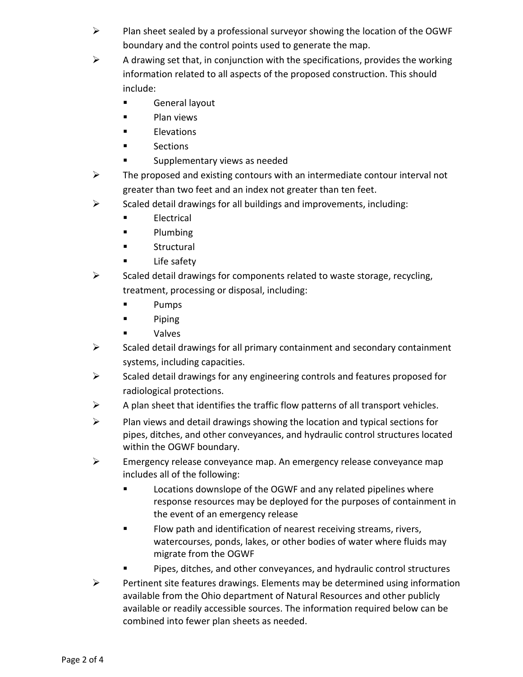- $\triangleright$  Plan sheet sealed by a professional surveyor showing the location of the OGWF boundary and the control points used to generate the map.
- $\triangleright$  A drawing set that, in conjunction with the specifications, provides the working information related to all aspects of the proposed construction. This should include:
	- **Example 13 General layout**
	- **Plan views**
	- **Elevations**
	- **Sections**
	- **Examplementary views as needed**
- $\triangleright$  The proposed and existing contours with an intermediate contour interval not greater than two feet and an index not greater than ten feet.
- $\triangleright$  Scaled detail drawings for all buildings and improvements, including:
	- **Electrical**
	- **Plumbing**
	- **Structural**
	- Life safety
- $\triangleright$  Scaled detail drawings for components related to waste storage, recycling, treatment, processing or disposal, including:
	- **Pumps**
	- **Piping**
	- Valves
- $\triangleright$  Scaled detail drawings for all primary containment and secondary containment systems, including capacities.
- $\triangleright$  Scaled detail drawings for any engineering controls and features proposed for radiological protections.
- $\triangleright$  A plan sheet that identifies the traffic flow patterns of all transport vehicles.
- $\triangleright$  Plan views and detail drawings showing the location and typical sections for pipes, ditches, and other conveyances, and hydraulic control structures located within the OGWF boundary.
- $\triangleright$  Emergency release conveyance map. An emergency release conveyance map includes all of the following:
	- **EXECUTE:** Locations downslope of the OGWF and any related pipelines where response resources may be deployed for the purposes of containment in the event of an emergency release
	- **Filow path and identification of nearest receiving streams, rivers,** watercourses, ponds, lakes, or other bodies of water where fluids may migrate from the OGWF
	- Pipes, ditches, and other conveyances, and hydraulic control structures
- $\triangleright$  Pertinent site features drawings. Elements may be determined using information available from the Ohio department of Natural Resources and other publicly available or readily accessible sources. The information required below can be combined into fewer plan sheets as needed.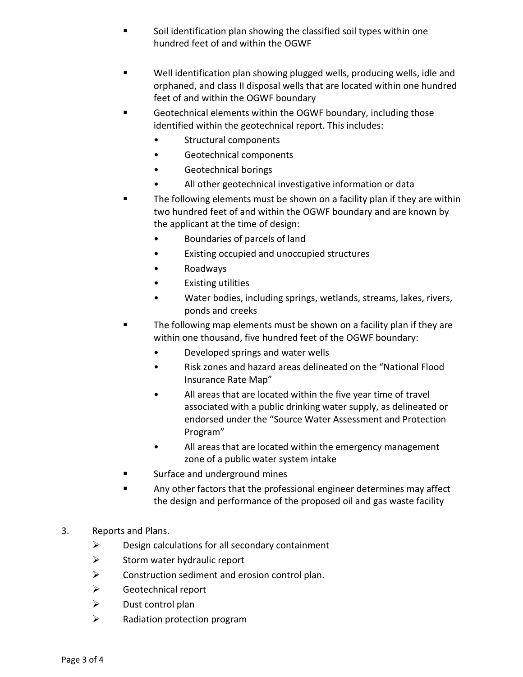- Soil identification plan showing the classified soil types within one hundred feet of and within the OGWF
- Well identification plan showing plugged wells, producing wells, idle and orphaned, and class II disposal wells that are located within one hundred feet of and within the OGWF boundary
- Geotechnical elements within the OGWF boundary, including those identified within the geotechnical report. This includes:
	- Structural components
	- Geotechnical components
	- Geotechnical borings
	- All other geotechnical investigative information or data
- The following elements must be shown on a facility plan if they are within two hundred feet of and within the OGWF boundary and are known by the applicant at the time of design:
	- Boundaries of parcels of land
	- Existing occupied and unoccupied structures
	- Roadways
	- Existing utilities
	- Water bodies, including springs, wetlands, streams, lakes, rivers, ponds and creeks
- The following map elements must be shown on a facility plan if they are within one thousand, five hundred feet of the OGWF boundary:
	- Developed springs and water wells
	- Risk zones and hazard areas delineated on the "National Flood Insurance Rate Map"
	- All areas that are located within the five year time of travel associated with a public drinking water supply, as delineated or endorsed under the "Source Water Assessment and Protection Program"
	- All areas that are located within the emergency management zone of a public water system intake
- **Example 2** Surface and underground mines
- **Any other factors that the professional engineer determines may affect** the design and performance of the proposed oil and gas waste facility
- 3. Reports and Plans.
	- $\triangleright$  Design calculations for all secondary containment
	- $\triangleright$  Storm water hydraulic report
	- $\triangleright$  Construction sediment and erosion control plan.
	- Geotechnical report
	- $\triangleright$  Dust control plan
	- $\triangleright$  Radiation protection program